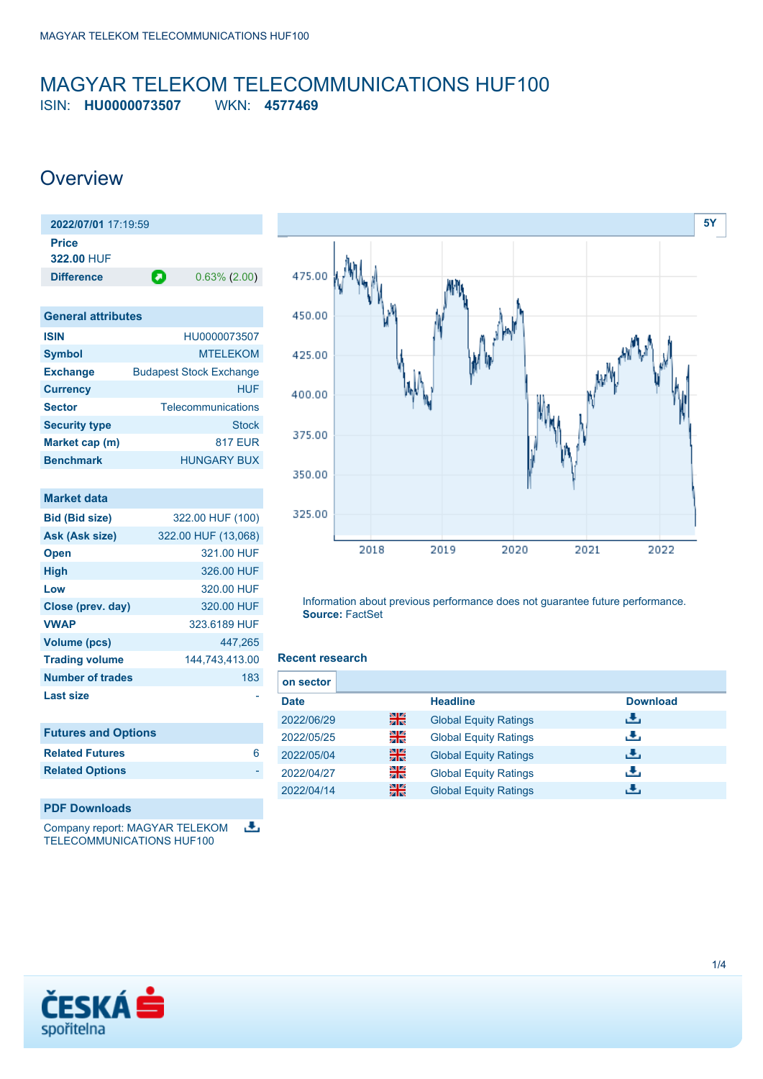## <span id="page-0-0"></span>MAGYAR TELEKOM TELECOMMUNICATIONS HUF100 ISIN: **HU0000073507** WKN: **4577469**

## **Overview**

| 2022/07/01 17:19:59        |   |                 |
|----------------------------|---|-----------------|
| <b>Price</b><br>322.00 HUF |   |                 |
| <b>Difference</b>          | О | $0.63\%$ (2.00) |
|                            |   |                 |

| <b>General attributes</b> |                                |
|---------------------------|--------------------------------|
| <b>ISIN</b>               | HU0000073507                   |
| <b>Symbol</b>             | <b>MTELEKOM</b>                |
| <b>Exchange</b>           | <b>Budapest Stock Exchange</b> |
| <b>Currency</b>           | HUF                            |
| <b>Sector</b>             | Telecommunications             |
| <b>Security type</b>      | <b>Stock</b>                   |
| Market cap (m)            | <b>817 EUR</b>                 |
| <b>Benchmark</b>          | HUNGARY BUX                    |

| <b>Market data</b>         |                     |
|----------------------------|---------------------|
| <b>Bid (Bid size)</b>      | 322.00 HUF (100)    |
| Ask (Ask size)             | 322.00 HUF (13,068) |
| <b>Open</b>                | 321.00 HUF          |
| <b>High</b>                | 326.00 HUF          |
| Low                        | 320.00 HUF          |
| Close (prev. day)          | 320.00 HUF          |
| <b>VWAP</b>                | 323.6189 HUF        |
| <b>Volume (pcs)</b>        | 447,265             |
| <b>Trading volume</b>      | 144,743,413.00      |
| Number of trades           | 183                 |
| <b>Last size</b>           |                     |
|                            |                     |
| <b>Futures and Options</b> |                     |
| <b>Related Futures</b>     | 6                   |

### **PDF Downloads**

**Related Options** 

Company report: MAGYAR TELEKOM J. TELECOMMUNICATIONS HUF100



Information about previous performance does not guarantee future performance. **Source:** FactSet

## **Recent research**

| on sector   |    |                              |                 |
|-------------|----|------------------------------|-----------------|
| <b>Date</b> |    | <b>Headline</b>              | <b>Download</b> |
| 2022/06/29  | 꾉쭍 | <b>Global Equity Ratings</b> | æ,              |
| 2022/05/25  | 읡  | <b>Global Equity Ratings</b> | æ,              |
| 2022/05/04  | 噐  | <b>Global Equity Ratings</b> | æ,              |
| 2022/04/27  | 을  | <b>Global Equity Ratings</b> | υ.              |
| 2022/04/14  | 噐  | <b>Global Equity Ratings</b> | æ.              |

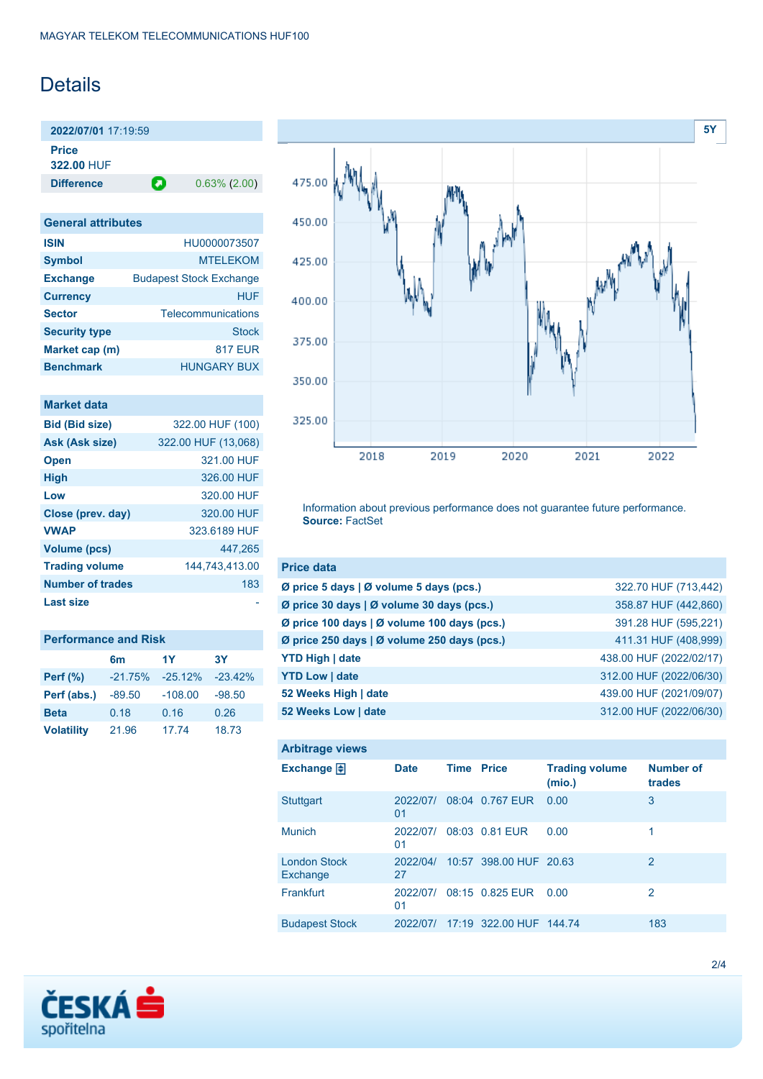# **Details**

**2022/07/01** 17:19:59 **Price**

**322.00** HUF

**Difference 0.63% (2.00)** 

| <b>General attributes</b> |                                |
|---------------------------|--------------------------------|
| <b>ISIN</b>               | HU0000073507                   |
| <b>Symbol</b>             | <b>MTELEKOM</b>                |
| <b>Exchange</b>           | <b>Budapest Stock Exchange</b> |
| <b>Currency</b>           | HUF                            |
| <b>Sector</b>             | Telecommunications             |
| <b>Security type</b>      | Stock                          |
| Market cap (m)            | <b>817 EUR</b>                 |
| <b>Benchmark</b>          | <b>HUNGARY BUX</b>             |

| <b>Market data</b> |  |  |
|--------------------|--|--|
|                    |  |  |
|                    |  |  |

| <b>Bid (Bid size)</b>   | 322.00 HUF (100)    |
|-------------------------|---------------------|
| Ask (Ask size)          | 322.00 HUF (13,068) |
| <b>Open</b>             | 321.00 HUF          |
| <b>High</b>             | 326.00 HUF          |
| Low                     | 320.00 HUF          |
| Close (prev. day)       | 320.00 HUF          |
| <b>VWAP</b>             | 323.6189 HUF        |
| <b>Volume (pcs)</b>     | 447.265             |
| <b>Trading volume</b>   | 144,743,413.00      |
| <b>Number of trades</b> | 183                 |
| <b>Last size</b>        |                     |

| <b>Performance and Risk</b> |           |           |           |  |  |  |
|-----------------------------|-----------|-----------|-----------|--|--|--|
|                             | 6m        | 1Y        | 3Υ        |  |  |  |
| <b>Perf</b> (%)             | $-21.75%$ | $-25.12%$ | $-23.42%$ |  |  |  |
| Perf (abs.)                 | $-89.50$  | $-108.00$ | $-98.50$  |  |  |  |
| <b>Beta</b>                 | 0.18      | 0.16      | 0.26      |  |  |  |
| <b>Volatility</b>           | 21.96     | 17.74     | 18.73     |  |  |  |



Information about previous performance does not guarantee future performance. **Source:** FactSet

| <b>Price data</b>                           |                         |
|---------------------------------------------|-------------------------|
| Ø price 5 days   Ø volume 5 days (pcs.)     | 322.70 HUF (713,442)    |
| Ø price 30 days   Ø volume 30 days (pcs.)   | 358.87 HUF (442,860)    |
| Ø price 100 days   Ø volume 100 days (pcs.) | 391.28 HUF (595,221)    |
| Ø price 250 days   Ø volume 250 days (pcs.) | 411.31 HUF (408,999)    |
| <b>YTD High   date</b>                      | 438.00 HUF (2022/02/17) |
| <b>YTD Low   date</b>                       | 312.00 HUF (2022/06/30) |
| 52 Weeks High   date                        | 439.00 HUF (2021/09/07) |
| 52 Weeks Low   date                         | 312.00 HUF (2022/06/30) |

| <b>Arbitrage views</b>          |                |                   |                         |                                 |                            |
|---------------------------------|----------------|-------------------|-------------------------|---------------------------------|----------------------------|
| Exchange $\Box$                 | <b>Date</b>    | <b>Time Price</b> |                         | <b>Trading volume</b><br>(mio.) | <b>Number of</b><br>trades |
| <b>Stuttgart</b>                | 2022/07/<br>01 |                   | 08:04 0.767 EUR         | 0.00                            | 3                          |
| <b>Munich</b>                   | 2022/07/<br>01 |                   | 08:03 0.81 EUR          | 0.00                            | 1                          |
| <b>London Stock</b><br>Exchange | 2022/04/<br>27 |                   | 10:57 398.00 HUF 20.63  |                                 | 2                          |
| Frankfurt                       | 2022/07/<br>01 |                   | 08:15 0.825 EUR         | 0.00                            | 2                          |
| <b>Budapest Stock</b>           | 2022/07/       |                   | 17:19 322.00 HUF 144.74 |                                 | 183                        |

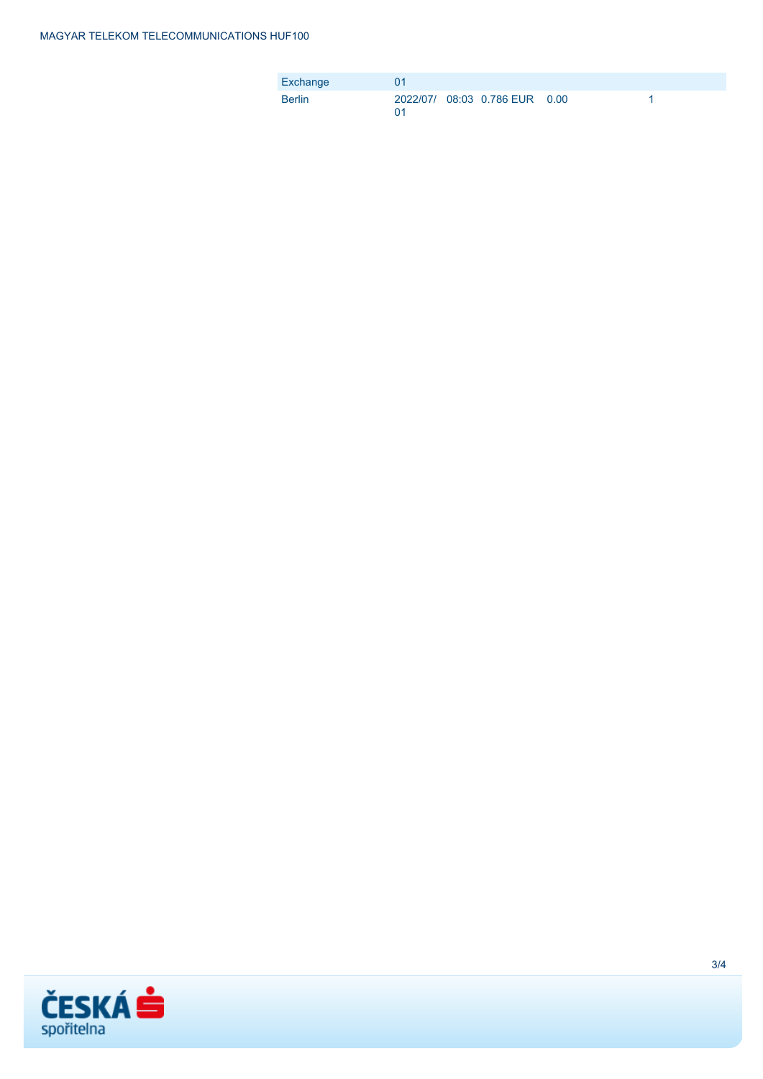| Exchange      |  |                               |  |
|---------------|--|-------------------------------|--|
| <b>Berlin</b> |  | 2022/07/ 08:03 0.786 EUR 0.00 |  |